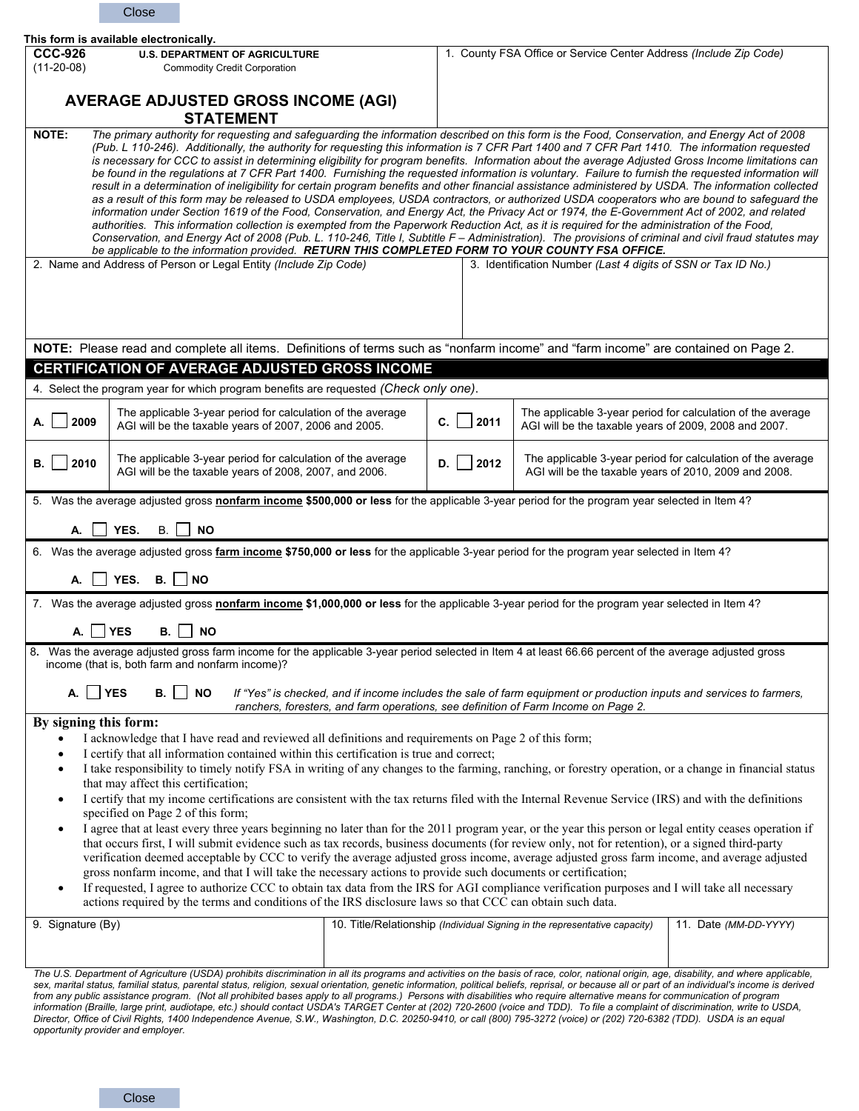|                                                                                                                                                                                                                                                                                                                                                                                                                                                                                                                                                                                                                                                                                                                                                                                                                                                                                                                                                                                                                                                                                                                                                                                                                                                                                                                                                                                                                                                                                                        | Close                                                                                                                                                                                                                                                                                                                                                                                                                                                                                                                                                                                                                                                                                                                                                             |  |            |                                                                                                                      |                                                             |
|--------------------------------------------------------------------------------------------------------------------------------------------------------------------------------------------------------------------------------------------------------------------------------------------------------------------------------------------------------------------------------------------------------------------------------------------------------------------------------------------------------------------------------------------------------------------------------------------------------------------------------------------------------------------------------------------------------------------------------------------------------------------------------------------------------------------------------------------------------------------------------------------------------------------------------------------------------------------------------------------------------------------------------------------------------------------------------------------------------------------------------------------------------------------------------------------------------------------------------------------------------------------------------------------------------------------------------------------------------------------------------------------------------------------------------------------------------------------------------------------------------|-------------------------------------------------------------------------------------------------------------------------------------------------------------------------------------------------------------------------------------------------------------------------------------------------------------------------------------------------------------------------------------------------------------------------------------------------------------------------------------------------------------------------------------------------------------------------------------------------------------------------------------------------------------------------------------------------------------------------------------------------------------------|--|------------|----------------------------------------------------------------------------------------------------------------------|-------------------------------------------------------------|
| <b>CCC-926</b>                                                                                                                                                                                                                                                                                                                                                                                                                                                                                                                                                                                                                                                                                                                                                                                                                                                                                                                                                                                                                                                                                                                                                                                                                                                                                                                                                                                                                                                                                         | This form is available electronically.<br><b>U.S. DEPARTMENT OF AGRICULTURE</b>                                                                                                                                                                                                                                                                                                                                                                                                                                                                                                                                                                                                                                                                                   |  |            | 1. County FSA Office or Service Center Address (Include Zip Code)                                                    |                                                             |
| $(11-20-08)$                                                                                                                                                                                                                                                                                                                                                                                                                                                                                                                                                                                                                                                                                                                                                                                                                                                                                                                                                                                                                                                                                                                                                                                                                                                                                                                                                                                                                                                                                           | <b>Commodity Credit Corporation</b>                                                                                                                                                                                                                                                                                                                                                                                                                                                                                                                                                                                                                                                                                                                               |  |            |                                                                                                                      |                                                             |
|                                                                                                                                                                                                                                                                                                                                                                                                                                                                                                                                                                                                                                                                                                                                                                                                                                                                                                                                                                                                                                                                                                                                                                                                                                                                                                                                                                                                                                                                                                        |                                                                                                                                                                                                                                                                                                                                                                                                                                                                                                                                                                                                                                                                                                                                                                   |  |            |                                                                                                                      |                                                             |
| <b>AVERAGE ADJUSTED GROSS INCOME (AGI)</b><br><b>STATEMENT</b>                                                                                                                                                                                                                                                                                                                                                                                                                                                                                                                                                                                                                                                                                                                                                                                                                                                                                                                                                                                                                                                                                                                                                                                                                                                                                                                                                                                                                                         |                                                                                                                                                                                                                                                                                                                                                                                                                                                                                                                                                                                                                                                                                                                                                                   |  |            |                                                                                                                      |                                                             |
| The primary authority for requesting and safeguarding the information described on this form is the Food, Conservation, and Energy Act of 2008<br><b>NOTE:</b><br>(Pub. L 110-246). Additionally, the authority for requesting this information is 7 CFR Part 1400 and 7 CFR Part 1410. The information requested<br>is necessary for CCC to assist in determining eligibility for program benefits. Information about the average Adjusted Gross Income limitations can<br>be found in the regulations at 7 CFR Part 1400. Furnishing the requested information is voluntary. Failure to furnish the requested information will<br>result in a determination of ineligibility for certain program benefits and other financial assistance administered by USDA. The information collected<br>as a result of this form may be released to USDA employees, USDA contractors, or authorized USDA cooperators who are bound to safeguard the<br>information under Section 1619 of the Food, Conservation, and Energy Act, the Privacy Act or 1974, the E-Government Act of 2002, and related<br>authorities. This information collection is exempted from the Paperwork Reduction Act, as it is required for the administration of the Food,<br>Conservation, and Energy Act of 2008 (Pub. L. 110-246, Title I, Subtitle F - Administration). The provisions of criminal and civil fraud statutes may<br>be applicable to the information provided. RETURN THIS COMPLETED FORM TO YOUR COUNTY FSA OFFICE. |                                                                                                                                                                                                                                                                                                                                                                                                                                                                                                                                                                                                                                                                                                                                                                   |  |            |                                                                                                                      |                                                             |
|                                                                                                                                                                                                                                                                                                                                                                                                                                                                                                                                                                                                                                                                                                                                                                                                                                                                                                                                                                                                                                                                                                                                                                                                                                                                                                                                                                                                                                                                                                        | 2. Name and Address of Person or Legal Entity (Include Zip Code)                                                                                                                                                                                                                                                                                                                                                                                                                                                                                                                                                                                                                                                                                                  |  |            | 3. Identification Number (Last 4 digits of SSN or Tax ID No.)                                                        |                                                             |
| NOTE: Please read and complete all items. Definitions of terms such as "nonfarm income" and "farm income" are contained on Page 2.                                                                                                                                                                                                                                                                                                                                                                                                                                                                                                                                                                                                                                                                                                                                                                                                                                                                                                                                                                                                                                                                                                                                                                                                                                                                                                                                                                     |                                                                                                                                                                                                                                                                                                                                                                                                                                                                                                                                                                                                                                                                                                                                                                   |  |            |                                                                                                                      |                                                             |
| <b>CERTIFICATION OF AVERAGE ADJUSTED GROSS INCOME</b>                                                                                                                                                                                                                                                                                                                                                                                                                                                                                                                                                                                                                                                                                                                                                                                                                                                                                                                                                                                                                                                                                                                                                                                                                                                                                                                                                                                                                                                  |                                                                                                                                                                                                                                                                                                                                                                                                                                                                                                                                                                                                                                                                                                                                                                   |  |            |                                                                                                                      |                                                             |
| 4. Select the program year for which program benefits are requested (Check only one).                                                                                                                                                                                                                                                                                                                                                                                                                                                                                                                                                                                                                                                                                                                                                                                                                                                                                                                                                                                                                                                                                                                                                                                                                                                                                                                                                                                                                  |                                                                                                                                                                                                                                                                                                                                                                                                                                                                                                                                                                                                                                                                                                                                                                   |  |            |                                                                                                                      |                                                             |
| 2009<br>А.                                                                                                                                                                                                                                                                                                                                                                                                                                                                                                                                                                                                                                                                                                                                                                                                                                                                                                                                                                                                                                                                                                                                                                                                                                                                                                                                                                                                                                                                                             | The applicable 3-year period for calculation of the average<br>AGI will be the taxable years of 2007, 2006 and 2005.                                                                                                                                                                                                                                                                                                                                                                                                                                                                                                                                                                                                                                              |  | 2011<br>C. | The applicable 3-year period for calculation of the average<br>AGI will be the taxable years of 2009, 2008 and 2007. |                                                             |
| 2010<br>В.                                                                                                                                                                                                                                                                                                                                                                                                                                                                                                                                                                                                                                                                                                                                                                                                                                                                                                                                                                                                                                                                                                                                                                                                                                                                                                                                                                                                                                                                                             | The applicable 3-year period for calculation of the average<br>AGI will be the taxable years of 2008, 2007, and 2006.                                                                                                                                                                                                                                                                                                                                                                                                                                                                                                                                                                                                                                             |  | 2012<br>D. | AGI will be the taxable years of 2010, 2009 and 2008.                                                                | The applicable 3-year period for calculation of the average |
| 5. Was the average adjusted gross nonfarm income \$500,000 or less for the applicable 3-year period for the program year selected in Item 4?                                                                                                                                                                                                                                                                                                                                                                                                                                                                                                                                                                                                                                                                                                                                                                                                                                                                                                                                                                                                                                                                                                                                                                                                                                                                                                                                                           |                                                                                                                                                                                                                                                                                                                                                                                                                                                                                                                                                                                                                                                                                                                                                                   |  |            |                                                                                                                      |                                                             |
| YES.<br><b>NO</b><br>В.                                                                                                                                                                                                                                                                                                                                                                                                                                                                                                                                                                                                                                                                                                                                                                                                                                                                                                                                                                                                                                                                                                                                                                                                                                                                                                                                                                                                                                                                                |                                                                                                                                                                                                                                                                                                                                                                                                                                                                                                                                                                                                                                                                                                                                                                   |  |            |                                                                                                                      |                                                             |
| 6. Was the average adjusted gross farm income \$750,000 or less for the applicable 3-year period for the program year selected in Item 4?                                                                                                                                                                                                                                                                                                                                                                                                                                                                                                                                                                                                                                                                                                                                                                                                                                                                                                                                                                                                                                                                                                                                                                                                                                                                                                                                                              |                                                                                                                                                                                                                                                                                                                                                                                                                                                                                                                                                                                                                                                                                                                                                                   |  |            |                                                                                                                      |                                                             |
| YES.<br><b>B.</b> I<br><b>NO</b><br>А.                                                                                                                                                                                                                                                                                                                                                                                                                                                                                                                                                                                                                                                                                                                                                                                                                                                                                                                                                                                                                                                                                                                                                                                                                                                                                                                                                                                                                                                                 |                                                                                                                                                                                                                                                                                                                                                                                                                                                                                                                                                                                                                                                                                                                                                                   |  |            |                                                                                                                      |                                                             |
| 7. Was the average adjusted gross nonfarm income \$1,000,000 or less for the applicable 3-year period for the program year selected in Item 4?                                                                                                                                                                                                                                                                                                                                                                                                                                                                                                                                                                                                                                                                                                                                                                                                                                                                                                                                                                                                                                                                                                                                                                                                                                                                                                                                                         |                                                                                                                                                                                                                                                                                                                                                                                                                                                                                                                                                                                                                                                                                                                                                                   |  |            |                                                                                                                      |                                                             |
| $A.$ $YES$ B. $NOR$                                                                                                                                                                                                                                                                                                                                                                                                                                                                                                                                                                                                                                                                                                                                                                                                                                                                                                                                                                                                                                                                                                                                                                                                                                                                                                                                                                                                                                                                                    |                                                                                                                                                                                                                                                                                                                                                                                                                                                                                                                                                                                                                                                                                                                                                                   |  |            |                                                                                                                      |                                                             |
| 8. Was the average adjusted gross farm income for the applicable 3-year period selected in Item 4 at least 66.66 percent of the average adjusted gross<br>income (that is, both farm and nonfarm income)?                                                                                                                                                                                                                                                                                                                                                                                                                                                                                                                                                                                                                                                                                                                                                                                                                                                                                                                                                                                                                                                                                                                                                                                                                                                                                              |                                                                                                                                                                                                                                                                                                                                                                                                                                                                                                                                                                                                                                                                                                                                                                   |  |            |                                                                                                                      |                                                             |
| YES<br>$\overline{\phantom{a}}$ NO<br>В.<br>If "Yes" is checked, and if income includes the sale of farm equipment or production inputs and services to farmers,<br>А.<br>ranchers, foresters, and farm operations, see definition of Farm Income on Page 2.                                                                                                                                                                                                                                                                                                                                                                                                                                                                                                                                                                                                                                                                                                                                                                                                                                                                                                                                                                                                                                                                                                                                                                                                                                           |                                                                                                                                                                                                                                                                                                                                                                                                                                                                                                                                                                                                                                                                                                                                                                   |  |            |                                                                                                                      |                                                             |
| By signing this form:                                                                                                                                                                                                                                                                                                                                                                                                                                                                                                                                                                                                                                                                                                                                                                                                                                                                                                                                                                                                                                                                                                                                                                                                                                                                                                                                                                                                                                                                                  |                                                                                                                                                                                                                                                                                                                                                                                                                                                                                                                                                                                                                                                                                                                                                                   |  |            |                                                                                                                      |                                                             |
| I acknowledge that I have read and reviewed all definitions and requirements on Page 2 of this form;                                                                                                                                                                                                                                                                                                                                                                                                                                                                                                                                                                                                                                                                                                                                                                                                                                                                                                                                                                                                                                                                                                                                                                                                                                                                                                                                                                                                   |                                                                                                                                                                                                                                                                                                                                                                                                                                                                                                                                                                                                                                                                                                                                                                   |  |            |                                                                                                                      |                                                             |
| I certify that all information contained within this certification is true and correct;<br>$\bullet$<br>I take responsibility to timely notify FSA in writing of any changes to the farming, ranching, or forestry operation, or a change in financial status<br>$\bullet$                                                                                                                                                                                                                                                                                                                                                                                                                                                                                                                                                                                                                                                                                                                                                                                                                                                                                                                                                                                                                                                                                                                                                                                                                             |                                                                                                                                                                                                                                                                                                                                                                                                                                                                                                                                                                                                                                                                                                                                                                   |  |            |                                                                                                                      |                                                             |
| that may affect this certification;                                                                                                                                                                                                                                                                                                                                                                                                                                                                                                                                                                                                                                                                                                                                                                                                                                                                                                                                                                                                                                                                                                                                                                                                                                                                                                                                                                                                                                                                    |                                                                                                                                                                                                                                                                                                                                                                                                                                                                                                                                                                                                                                                                                                                                                                   |  |            |                                                                                                                      |                                                             |
| I certify that my income certifications are consistent with the tax returns filed with the Internal Revenue Service (IRS) and with the definitions<br>$\bullet$<br>specified on Page 2 of this form;                                                                                                                                                                                                                                                                                                                                                                                                                                                                                                                                                                                                                                                                                                                                                                                                                                                                                                                                                                                                                                                                                                                                                                                                                                                                                                   |                                                                                                                                                                                                                                                                                                                                                                                                                                                                                                                                                                                                                                                                                                                                                                   |  |            |                                                                                                                      |                                                             |
| I agree that at least every three years beginning no later than for the 2011 program year, or the year this person or legal entity ceases operation if<br>$\bullet$<br>that occurs first, I will submit evidence such as tax records, business documents (for review only, not for retention), or a signed third-party<br>verification deemed acceptable by CCC to verify the average adjusted gross income, average adjusted gross farm income, and average adjusted<br>gross nonfarm income, and that I will take the necessary actions to provide such documents or certification;                                                                                                                                                                                                                                                                                                                                                                                                                                                                                                                                                                                                                                                                                                                                                                                                                                                                                                                  |                                                                                                                                                                                                                                                                                                                                                                                                                                                                                                                                                                                                                                                                                                                                                                   |  |            |                                                                                                                      |                                                             |
| If requested, I agree to authorize CCC to obtain tax data from the IRS for AGI compliance verification purposes and I will take all necessary<br>$\bullet$<br>actions required by the terms and conditions of the IRS disclosure laws so that CCC can obtain such data.                                                                                                                                                                                                                                                                                                                                                                                                                                                                                                                                                                                                                                                                                                                                                                                                                                                                                                                                                                                                                                                                                                                                                                                                                                |                                                                                                                                                                                                                                                                                                                                                                                                                                                                                                                                                                                                                                                                                                                                                                   |  |            |                                                                                                                      |                                                             |
| 9. Signature (By)                                                                                                                                                                                                                                                                                                                                                                                                                                                                                                                                                                                                                                                                                                                                                                                                                                                                                                                                                                                                                                                                                                                                                                                                                                                                                                                                                                                                                                                                                      |                                                                                                                                                                                                                                                                                                                                                                                                                                                                                                                                                                                                                                                                                                                                                                   |  |            | 10. Title/Relationship (Individual Signing in the representative capacity)                                           | 11. Date (MM-DD-YYYY)                                       |
|                                                                                                                                                                                                                                                                                                                                                                                                                                                                                                                                                                                                                                                                                                                                                                                                                                                                                                                                                                                                                                                                                                                                                                                                                                                                                                                                                                                                                                                                                                        | The U.S. Department of Agriculture (USDA) prohibits discrimination in all its programs and activities on the basis of race, color, national origin, age, disability, and where applicable,<br>sex, marital status, familial status, parental status, religion, sexual orientation, genetic information, political beliefs, reprisal, or because all or part of an individual's income is derived<br>from any public assistance program. (Not all prohibited bases apply to all programs.) Persons with disabilities who require alternative means for communication of program<br>information (Braille, large print, audiotape, etc.) should contact USDA's TARGET Center at (202) 720-2600 (voice and TDD). To file a complaint of discrimination, write to USDA |  |            |                                                                                                                      |                                                             |

*information (Braille, large print, audiotape, etc.) should contact USDA's TARGET Center at (202) 720-2600 (voice and TDD). To file a complaint of discrimination, write to USDA, Director, Office of Civil Rights, 1400 Independence Avenue, S.W., Washington, D.C. 20250-9410, or call (800) 795-3272 (voice) or (202) 720-6382 (TDD). USDA is an equal opportunity provider and employer.*